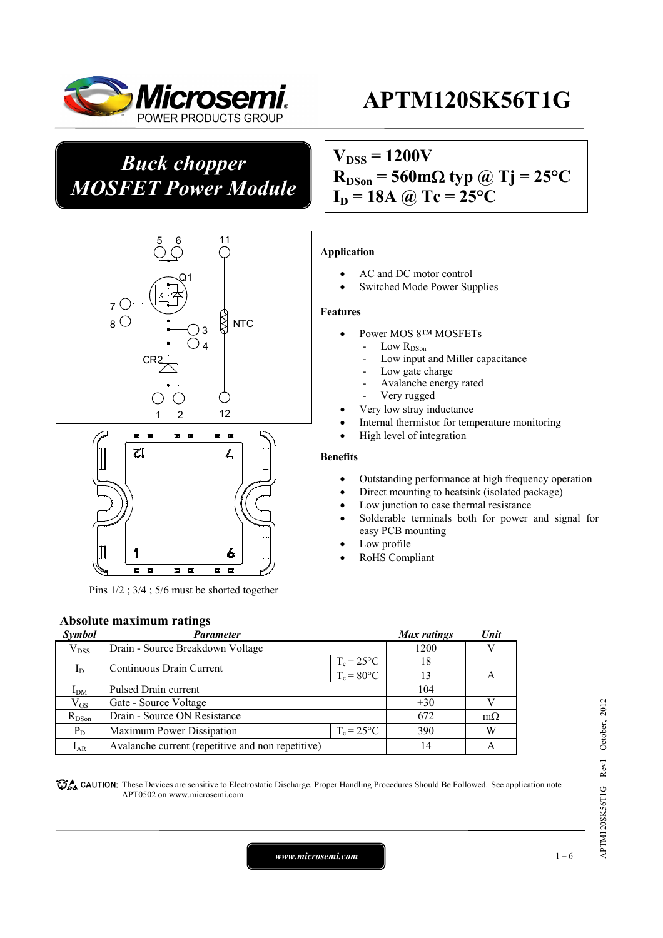

## *Buck chopper MOSFET Power Module*

# $V_{DSS} = 1200V$  $R_{DSon}$  = 560 m $\Omega$  typ @ Tj = 25<sup>o</sup>C





Pins 1/2 ; 3/4 ; 5/6 must be shorted together

#### **Absolute maximum ratings**

| Symbol          | Parameter                                         |                     | Max ratings | Unit      |
|-----------------|---------------------------------------------------|---------------------|-------------|-----------|
| $V_{DSS}$       | Drain - Source Breakdown Voltage                  |                     | 1200        |           |
| $I_D$           |                                                   | $T_c = 25^{\circ}C$ | 18          |           |
|                 | Continuous Drain Current                          | $T_c = 80^{\circ}C$ | 13          | A         |
| I <sub>DM</sub> | Pulsed Drain current                              | 104                 |             |           |
| $\rm V_{GS}$    | Gate - Source Voltage                             |                     | $\pm 30$    |           |
| $R_{DSon}$      | Drain - Source ON Resistance                      |                     | 672         | $m\Omega$ |
| $P_D$           | Maximum Power Dissipation                         | $T_c = 25^{\circ}C$ | 390         | W         |
| $I_{AR}$        | Avalanche current (repetitive and non repetitive) |                     | 14          |           |

**These** CAUTION: These Devices are sensitive to Electrostatic Discharge. Proper Handling Procedures Should Be Followed. See application note APT0502 on www.microsemi.com

# $I_D = 18A$  @ Tc = 25<sup>o</sup>C

#### **Application**

- AC and DC motor control
- Switched Mode Power Supplies

#### **Features**

- Power MOS 8™ MOSFETs
	- Low  $R_{DSon}$
	- Low input and Miller capacitance
	- Low gate charge
	- Avalanche energy rated
	- Very rugged
	- Very low stray inductance
- Internal thermistor for temperature monitoring
- High level of integration

#### **Benefits**

- Outstanding performance at high frequency operation
- Direct mounting to heatsink (isolated package)
- Low junction to case thermal resistance
- Solderable terminals both for power and signal for easy PCB mounting
- Low profile
- RoHS Compliant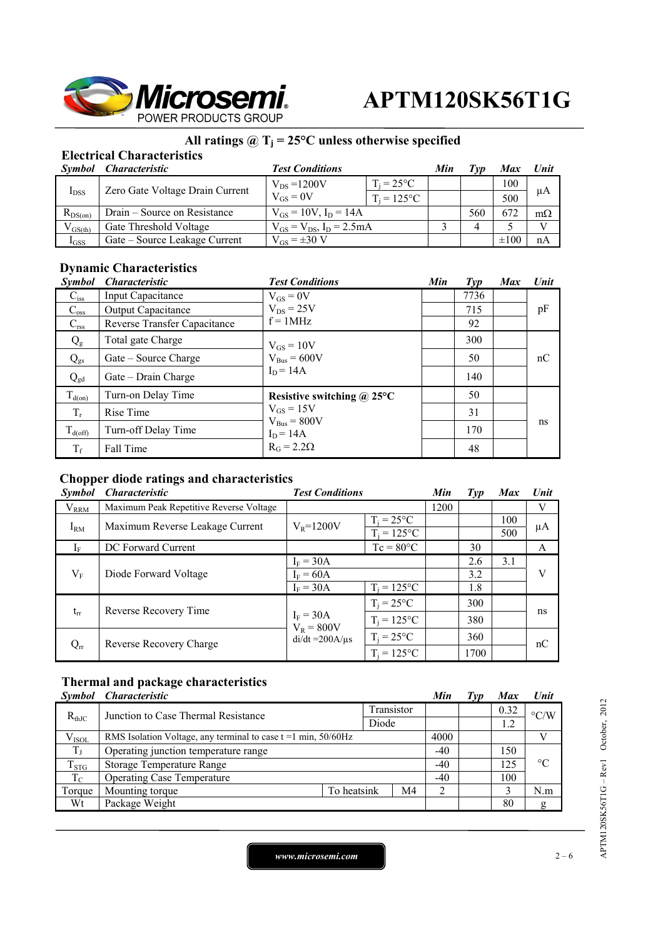

## **All ratings @ Tj = 25°C unless otherwise specified**

### **Electrical Characteristics**

| Symbol       | <i><b>Characteristic</b></i>    | <b>Test Conditions</b>             |                     | Min | Tvv | <b>Max</b> | Unit      |
|--------------|---------------------------------|------------------------------------|---------------------|-----|-----|------------|-----------|
| $I_{DSS}$    | Zero Gate Voltage Drain Current | $V_{DS} = 1200V$                   | $T_i = 25^{\circ}C$ |     |     | 100        | μA        |
|              |                                 | $V_{GS} = 0V$                      | $T_i = 125$ °C      |     |     | 500        |           |
| $R_{DS(on)}$ | Drain – Source on Resistance    | $V_{GS} = 10V$ , $I_D = 14A$       |                     |     | 560 | 672        | $m\Omega$ |
| $V_{GS(th)}$ | Gate Threshold Voltage          | $V_{GS} = V_{DS}$ , $I_D = 2.5 mA$ |                     |     |     |            | $\bf{T}$  |
| $I_{GSS}$    | Gate – Source Leakage Current   | $V_{GS} = \pm 30 V$                |                     |     |     | $\pm 100$  | nA        |

#### **Dynamic Characteristics**

| <i>Symbol</i>       | <b>Characteristic</b>        | <b>Test Conditions</b>                            | Min | $\mathcal{I}yp$ | <b>Max</b> | Unit |
|---------------------|------------------------------|---------------------------------------------------|-----|-----------------|------------|------|
| $C_{iss}$           | <b>Input Capacitance</b>     | $V_{GS} = 0V$                                     |     | 7736            |            |      |
| $C_{\rm oss}$       | Output Capacitance           | $V_{DS} = 25V$                                    |     | 715             |            | pF   |
| $C_{\text{rss}}$    | Reverse Transfer Capacitance | $f = 1MHz$                                        |     | 92              |            |      |
| $Q_{\rm g}$         | Total gate Charge            | $V_{GS} = 10V$                                    |     | 300             |            |      |
| $Q_{gs}$            | Gate – Source Charge         | $V_{Bus} = 600V$                                  |     | 50              |            | nC   |
| $Q_{gd}$            | Gate – Drain Charge          | $I_D = 14A$                                       |     | 140             |            |      |
| $T_{d(on)}$         | Turn-on Delay Time           | Resistive switching $\omega$ 25°C                 |     | 50              |            |      |
| $T_r$               | Rise Time                    | $V_{GS} = 15V$<br>$V_{Bus} = 800V$<br>$I_D = 14A$ |     | 31              |            |      |
| $T_{d(\text{off})}$ | Turn-off Delay Time          |                                                   |     | 170             |            | ns   |
| $T_f$               | Fall Time                    | $R_G = 2.2\Omega$                                 |     | 48              |            |      |

#### **Chopper diode ratings and characteristics**

| <i>Symbol</i> | <b>Characteristic</b>                            | <b>Test Conditions</b> |                                       | Min  | Type | <b>Max</b> | Unit |
|---------------|--------------------------------------------------|------------------------|---------------------------------------|------|------|------------|------|
| $V_{RRM}$     | Maximum Peak Repetitive Reverse Voltage          |                        |                                       | 1200 |      |            | V    |
| $I_{\rm RM}$  | Maximum Reverse Leakage Current                  | $V_R = 1200V$          | $T_i = 25^{\circ}C$<br>$T_i = 125$ °C |      |      | 100<br>500 | μA   |
| $I_{\rm F}$   | DC Forward Current                               |                        | $Tc = 80^{\circ}C$                    |      | 30   |            | A    |
|               |                                                  | $I_F = 30A$            |                                       |      | 2.6  | 3.1        |      |
| $V_{\rm F}$   | Diode Forward Voltage                            | $I_F = 60A$            |                                       |      | 3.2  |            | V    |
|               |                                                  | $I_F = 30A$            | $T_i = 125$ °C                        |      | 1.8  |            |      |
|               | Reverse Recovery Time<br>$t_{rr}$<br>$I_F = 30A$ | $T_i = 25^{\circ}C$    |                                       | 300  |      |            |      |
|               |                                                  | $V_R = 800V$           | $T_i = 125$ °C                        |      | 380  |            | ns   |
| $Q_{rr}$      | Reverse Recovery Charge                          | $di/dt = 200A/\mu s$   | $T_i = 25$ °C                         |      | 360  |            | nC   |
|               |                                                  |                        | $T_i = 125$ °C                        |      | 1700 |            |      |

#### **Thermal and package characteristics**

|             | Symbol Characteristic                                               |             |    | Min   | Typ  | <b>Max</b>         | Unit            |
|-------------|---------------------------------------------------------------------|-------------|----|-------|------|--------------------|-----------------|
| $R_{thJC}$  | Junction to Case Thermal Resistance                                 | Transistor  |    |       | 0.32 | $\rm ^{\circ}$ C/W |                 |
|             |                                                                     | Diode       |    |       | 1.2  |                    |                 |
| $V_{ISOL}$  | RMS Isolation Voltage, any terminal to case $t = 1$ min, $50/60$ Hz |             |    | 4000  |      |                    |                 |
| $T_{\rm J}$ | Operating junction temperature range                                |             |    | $-40$ |      | 150                |                 |
| $T_{STG}$   | Storage Temperature Range                                           |             |    | $-40$ |      | 125                | $\rm ^{\circ}C$ |
| $T_{C}$     | <b>Operating Case Temperature</b>                                   |             |    | $-40$ |      | 100                |                 |
| Torque      | Mounting torque                                                     | To heatsink | M4 |       |      |                    | N.m             |
| Wt          | Package Weight                                                      |             |    |       |      | 80                 | g               |

APTM120SK56T1G-Rev1 October, 2012 APTM120SK56T1G – Rev1 October, 2012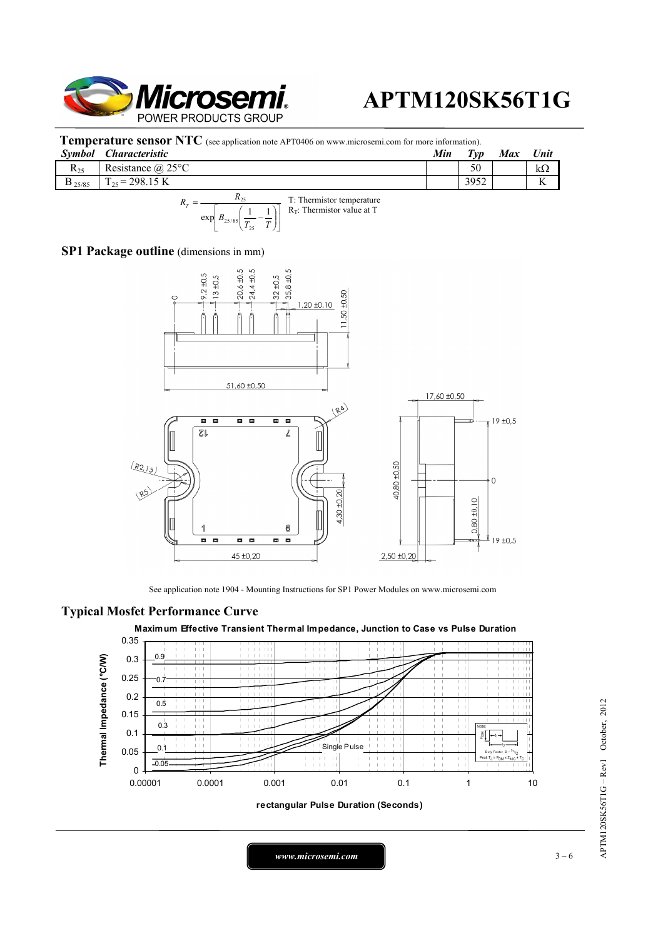

**Temperature sensor NTC** (see application note APT0406 on www.microsemi.com for more information).

| Symbol      | Characteristic        | Min | $T_{VD}$ | <b>Max</b> | Unit              |
|-------------|-----------------------|-----|----------|------------|-------------------|
| $R_{25}$    | Resistance $(a)$ 25°C |     | 50       |            | kΩ                |
| $D_{25/85}$ | $= 298.15 \text{ K}$  |     | 3952     |            | $\mathbf{r}$<br>л |
|             |                       |     |          |            |                   |



#### **SP1 Package outline** (dimensions in mm)



See application note 1904 - Mounting Instructions for SP1 Power Modules on www.microsemi.com

#### **Typical Mosfet Performance Curve**





*www.microsemi.com* 3 – 6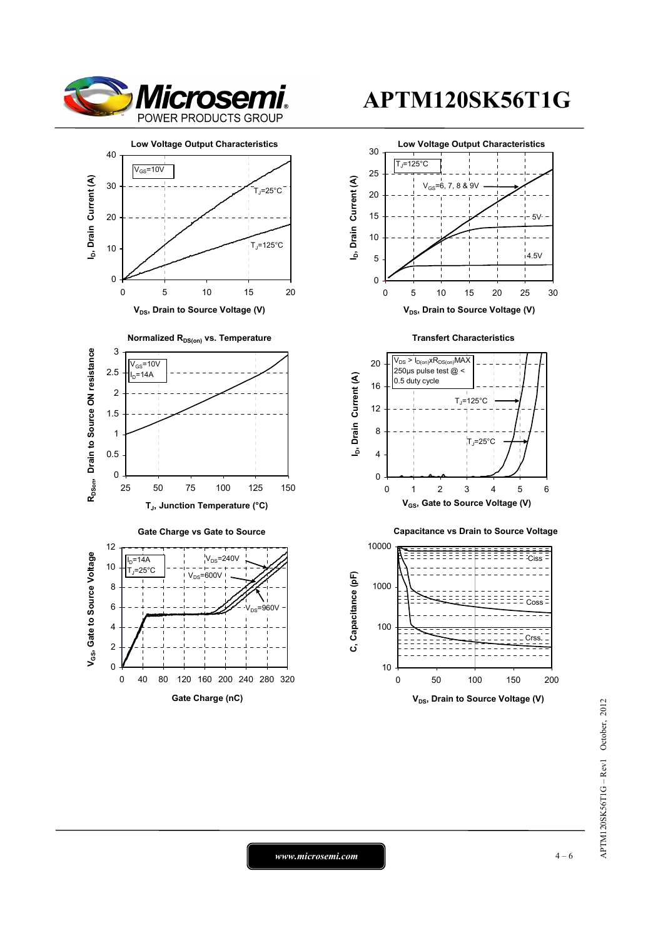



**V<sub>DS</sub>**, Drain to Source Voltage (V)









*www.microsemi.com* 4-6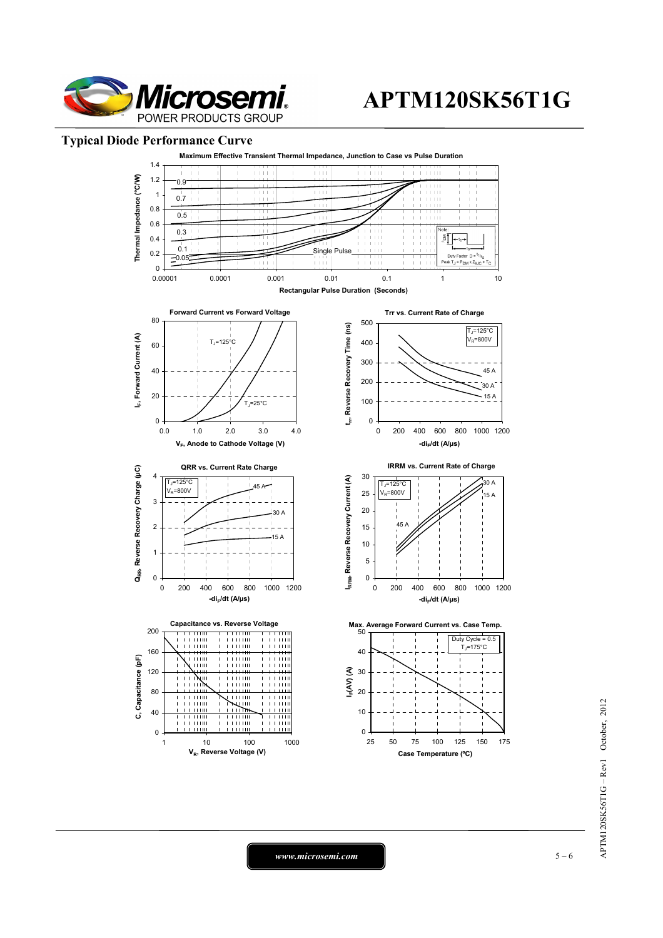

#### **Typical Diode Performance Curve**



*www.microsemi.com* 5 – 6